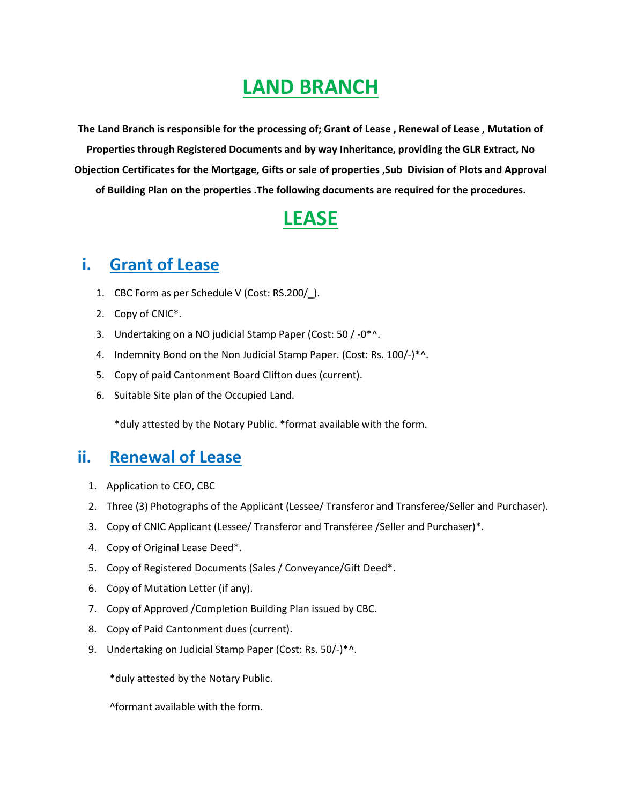## **LAND BRANCH**

**The Land Branch is responsible for the processing of; Grant of Lease , Renewal of Lease , Mutation of Properties through Registered Documents and by way Inheritance, providing the GLR Extract, No Objection Certificates for the Mortgage, Gifts or sale of properties ,Sub Division of Plots and Approval of Building Plan on the properties .The following documents are required for the procedures.** 

### **LEASE**

#### **i. Grant of Lease**

- 1. CBC Form as per Schedule V (Cost: RS.200/\_).
- 2. Copy of CNIC\*.
- 3. Undertaking on a NO judicial Stamp Paper (Cost: 50 / -0\*^.
- 4. Indemnity Bond on the Non Judicial Stamp Paper. (Cost: Rs. 100/-)\*^.
- 5. Copy of paid Cantonment Board Clifton dues (current).
- 6. Suitable Site plan of the Occupied Land.

\*duly attested by the Notary Public. \*format available with the form.

#### **ii. Renewal of Lease**

- 1. Application to CEO, CBC
- 2. Three (3) Photographs of the Applicant (Lessee/ Transferor and Transferee/Seller and Purchaser).
- 3. Copy of CNIC Applicant (Lessee/ Transferor and Transferee /Seller and Purchaser)\*.
- 4. Copy of Original Lease Deed\*.
- 5. Copy of Registered Documents (Sales / Conveyance/Gift Deed\*.
- 6. Copy of Mutation Letter (if any).
- 7. Copy of Approved /Completion Building Plan issued by CBC.
- 8. Copy of Paid Cantonment dues (current).
- 9. Undertaking on Judicial Stamp Paper (Cost: Rs. 50/-)\*^.

\*duly attested by the Notary Public.

^formant available with the form.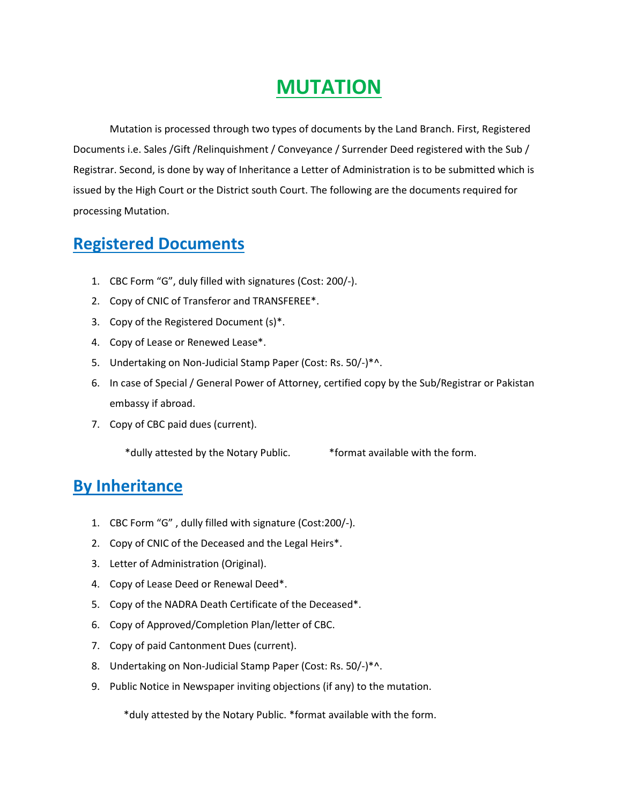## **MUTATION**

Mutation is processed through two types of documents by the Land Branch. First, Registered Documents i.e. Sales /Gift /Relinquishment / Conveyance / Surrender Deed registered with the Sub / Registrar. Second, is done by way of Inheritance a Letter of Administration is to be submitted which is issued by the High Court or the District south Court. The following are the documents required for processing Mutation.

#### **Registered Documents**

- 1. CBC Form "G", duly filled with signatures (Cost: 200/-).
- 2. Copy of CNIC of Transferor and TRANSFEREE\*.
- 3. Copy of the Registered Document (s)\*.
- 4. Copy of Lease or Renewed Lease\*.
- 5. Undertaking on Non-Judicial Stamp Paper (Cost: Rs. 50/-)\*^.
- 6. In case of Special / General Power of Attorney, certified copy by the Sub/Registrar or Pakistan embassy if abroad.
- 7. Copy of CBC paid dues (current).

\*dully attested by the Notary Public. \*format available with the form.

#### **By Inheritance**

- 1. CBC Form "G" , dully filled with signature (Cost:200/-).
- 2. Copy of CNIC of the Deceased and the Legal Heirs\*.
- 3. Letter of Administration (Original).
- 4. Copy of Lease Deed or Renewal Deed\*.
- 5. Copy of the NADRA Death Certificate of the Deceased\*.
- 6. Copy of Approved/Completion Plan/letter of CBC.
- 7. Copy of paid Cantonment Dues (current).
- 8. Undertaking on Non-Judicial Stamp Paper (Cost: Rs. 50/-)\*^.
- 9. Public Notice in Newspaper inviting objections (if any) to the mutation.

\*duly attested by the Notary Public. \*format available with the form.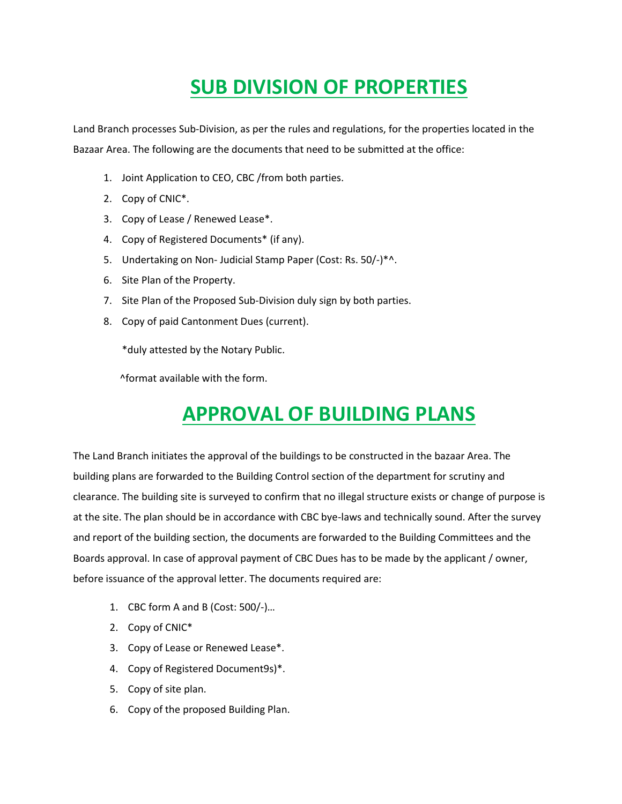# **SUB DIVISION OF PROPERTIES**

Land Branch processes Sub-Division, as per the rules and regulations, for the properties located in the Bazaar Area. The following are the documents that need to be submitted at the office:

- 1. Joint Application to CEO, CBC /from both parties.
- 2. Copy of CNIC\*.
- 3. Copy of Lease / Renewed Lease\*.
- 4. Copy of Registered Documents\* (if any).
- 5. Undertaking on Non- Judicial Stamp Paper (Cost: Rs. 50/-)\*^.
- 6. Site Plan of the Property.
- 7. Site Plan of the Proposed Sub-Division duly sign by both parties.
- 8. Copy of paid Cantonment Dues (current).

\*duly attested by the Notary Public.

^format available with the form.

## **APPROVAL OF BUILDING PLANS**

The Land Branch initiates the approval of the buildings to be constructed in the bazaar Area. The building plans are forwarded to the Building Control section of the department for scrutiny and clearance. The building site is surveyed to confirm that no illegal structure exists or change of purpose is at the site. The plan should be in accordance with CBC bye-laws and technically sound. After the survey and report of the building section, the documents are forwarded to the Building Committees and the Boards approval. In case of approval payment of CBC Dues has to be made by the applicant / owner, before issuance of the approval letter. The documents required are:

- 1. CBC form A and B (Cost: 500/-)…
- 2. Copy of CNIC\*
- 3. Copy of Lease or Renewed Lease\*.
- 4. Copy of Registered Document9s)\*.
- 5. Copy of site plan.
- 6. Copy of the proposed Building Plan.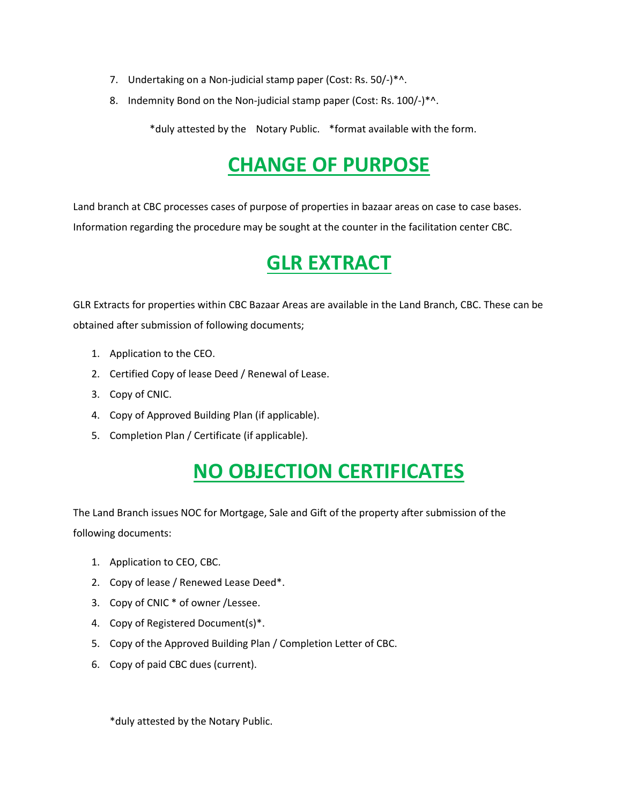- 7. Undertaking on a Non-judicial stamp paper (Cost: Rs. 50/-)\*^.
- 8. Indemnity Bond on the Non-judicial stamp paper (Cost: Rs. 100/-)\*^.

\*duly attested by the Notary Public. \*format available with the form.

# **CHANGE OF PURPOSE**

Land branch at CBC processes cases of purpose of properties in bazaar areas on case to case bases. Information regarding the procedure may be sought at the counter in the facilitation center CBC.

## **GLR EXTRACT**

GLR Extracts for properties within CBC Bazaar Areas are available in the Land Branch, CBC. These can be obtained after submission of following documents;

- 1. Application to the CEO.
- 2. Certified Copy of lease Deed / Renewal of Lease.
- 3. Copy of CNIC.
- 4. Copy of Approved Building Plan (if applicable).
- 5. Completion Plan / Certificate (if applicable).

## **NO OBJECTION CERTIFICATES**

The Land Branch issues NOC for Mortgage, Sale and Gift of the property after submission of the following documents:

- 1. Application to CEO, CBC.
- 2. Copy of lease / Renewed Lease Deed\*.
- 3. Copy of CNIC \* of owner /Lessee.
- 4. Copy of Registered Document(s)\*.
- 5. Copy of the Approved Building Plan / Completion Letter of CBC.
- 6. Copy of paid CBC dues (current).

\*duly attested by the Notary Public.